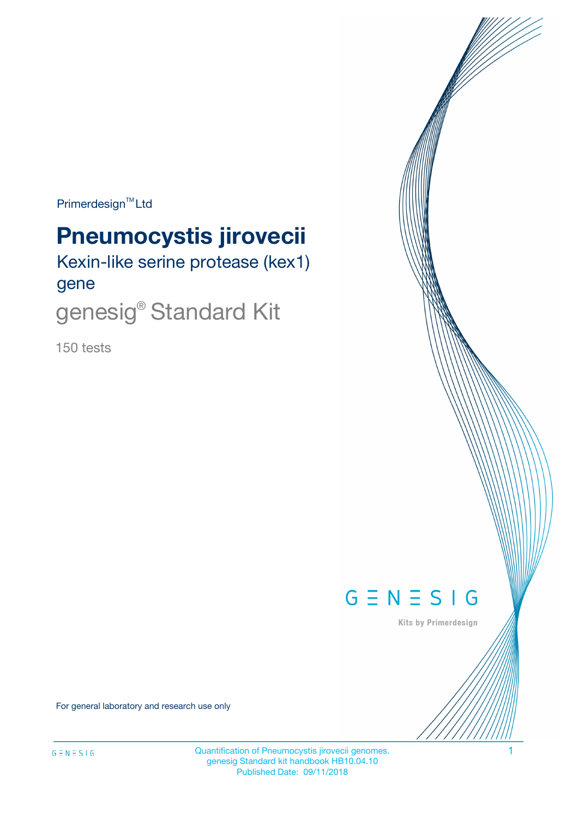Primerdesign<sup>™</sup>Ltd

# **Pneumocystis jirovecii**

Kexin-like serine protease (kex1) gene

genesig® Standard Kit

150 tests



Kits by Primerdesign

For general laboratory and research use only

Quantification of Pneumocystis jirovecii genomes. 1 genesig Standard kit handbook HB10.04.10 Published Date: 09/11/2018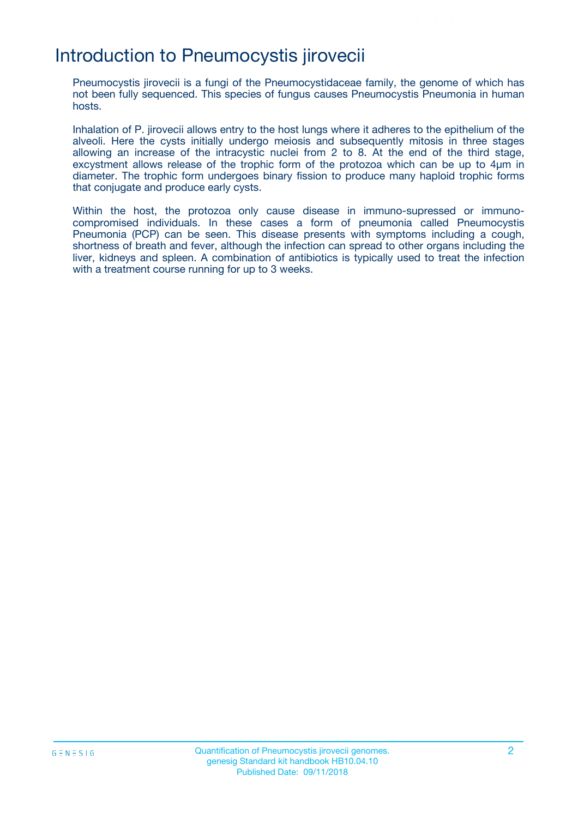## Introduction to Pneumocystis jirovecii

Pneumocystis jirovecii is a fungi of the Pneumocystidaceae family, the genome of which has not been fully sequenced. This species of fungus causes Pneumocystis Pneumonia in human hosts.

Inhalation of P. jirovecii allows entry to the host lungs where it adheres to the epithelium of the alveoli. Here the cysts initially undergo meiosis and subsequently mitosis in three stages allowing an increase of the intracystic nuclei from 2 to 8. At the end of the third stage, excystment allows release of the trophic form of the protozoa which can be up to 4µm in diameter. The trophic form undergoes binary fission to produce many haploid trophic forms that conjugate and produce early cysts.

Within the host, the protozoa only cause disease in immuno-supressed or immunocompromised individuals. In these cases a form of pneumonia called Pneumocystis Pneumonia (PCP) can be seen. This disease presents with symptoms including a cough, shortness of breath and fever, although the infection can spread to other organs including the liver, kidneys and spleen. A combination of antibiotics is typically used to treat the infection with a treatment course running for up to 3 weeks.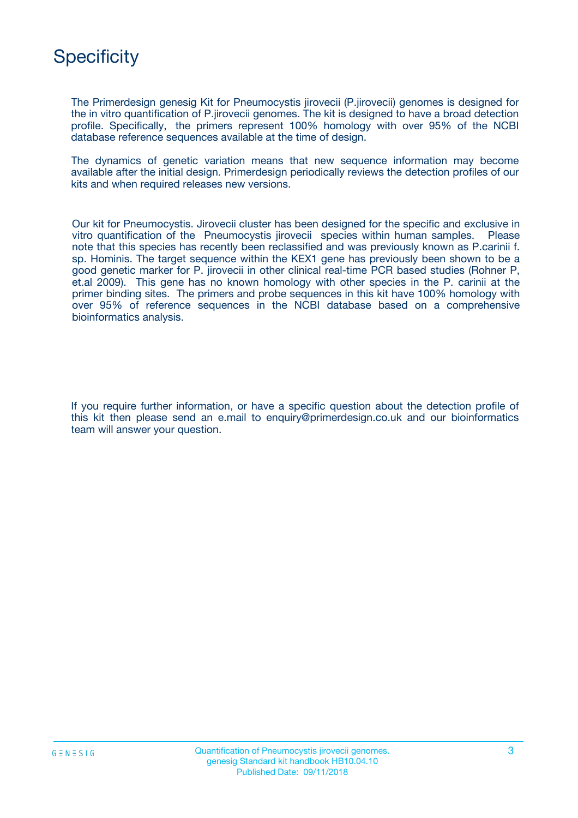## **Specificity**

The Primerdesign genesig Kit for Pneumocystis jirovecii (P.jirovecii) genomes is designed for the in vitro quantification of P.jirovecii genomes. The kit is designed to have a broad detection profile. Specifically, the primers represent 100% homology with over 95% of the NCBI database reference sequences available at the time of design.

The dynamics of genetic variation means that new sequence information may become available after the initial design. Primerdesign periodically reviews the detection profiles of our kits and when required releases new versions.

Our kit for Pneumocystis. Jirovecii cluster has been designed for the specific and exclusive in vitro quantification of the Pneumocystis jirovecii species within human samples. Please note that this species has recently been reclassified and was previously known as P.carinii f. sp. Hominis. The target sequence within the KEX1 gene has previously been shown to be a good genetic marker for P. jirovecii in other clinical real-time PCR based studies (Rohner P, et.al 2009). This gene has no known homology with other species in the P. carinii at the primer binding sites. The primers and probe sequences in this kit have 100% homology with over 95% of reference sequences in the NCBI database based on a comprehensive bioinformatics analysis.

If you require further information, or have a specific question about the detection profile of this kit then please send an e.mail to enquiry@primerdesign.co.uk and our bioinformatics team will answer your question.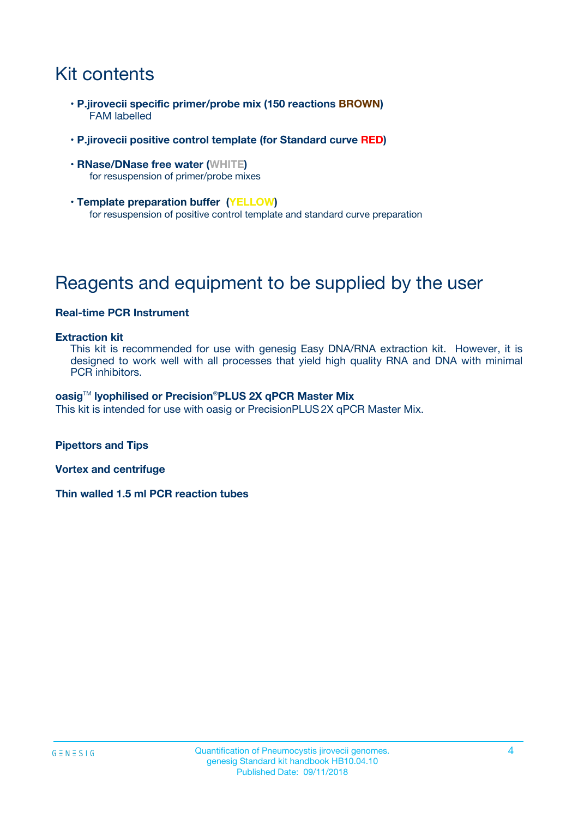## Kit contents

- **P.jirovecii specific primer/probe mix (150 reactions BROWN)** FAM labelled
- **P.jirovecii positive control template (for Standard curve RED)**
- **RNase/DNase free water (WHITE)** for resuspension of primer/probe mixes
- **Template preparation buffer (YELLOW)** for resuspension of positive control template and standard curve preparation

## Reagents and equipment to be supplied by the user

#### **Real-time PCR Instrument**

#### **Extraction kit**

This kit is recommended for use with genesig Easy DNA/RNA extraction kit. However, it is designed to work well with all processes that yield high quality RNA and DNA with minimal PCR inhibitors.

#### **oasig**TM **lyophilised or Precision**®**PLUS 2X qPCR Master Mix**

This kit is intended for use with oasig or PrecisionPLUS2X qPCR Master Mix.

**Pipettors and Tips**

**Vortex and centrifuge**

**Thin walled 1.5 ml PCR reaction tubes**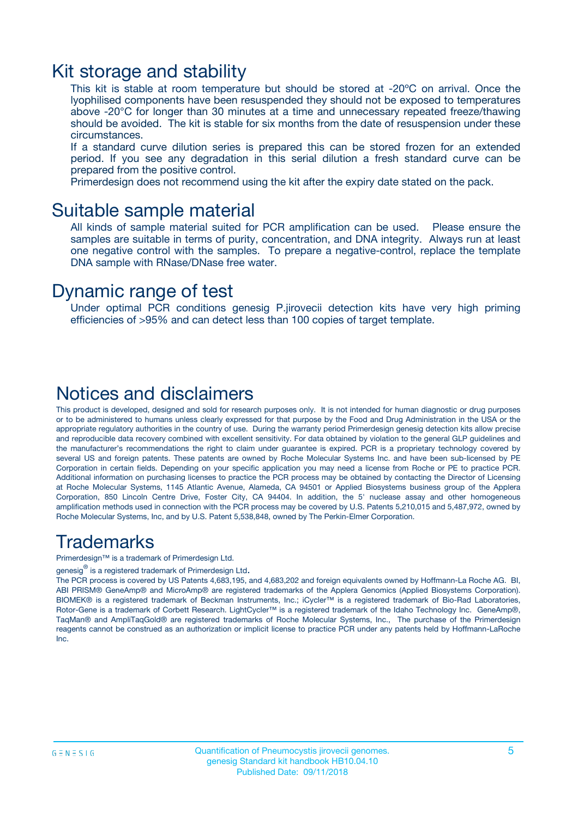### Kit storage and stability

This kit is stable at room temperature but should be stored at -20ºC on arrival. Once the lyophilised components have been resuspended they should not be exposed to temperatures above -20°C for longer than 30 minutes at a time and unnecessary repeated freeze/thawing should be avoided. The kit is stable for six months from the date of resuspension under these circumstances.

If a standard curve dilution series is prepared this can be stored frozen for an extended period. If you see any degradation in this serial dilution a fresh standard curve can be prepared from the positive control.

Primerdesign does not recommend using the kit after the expiry date stated on the pack.

### Suitable sample material

All kinds of sample material suited for PCR amplification can be used. Please ensure the samples are suitable in terms of purity, concentration, and DNA integrity. Always run at least one negative control with the samples. To prepare a negative-control, replace the template DNA sample with RNase/DNase free water.

### Dynamic range of test

Under optimal PCR conditions genesig P.jirovecii detection kits have very high priming efficiencies of >95% and can detect less than 100 copies of target template.

### Notices and disclaimers

This product is developed, designed and sold for research purposes only. It is not intended for human diagnostic or drug purposes or to be administered to humans unless clearly expressed for that purpose by the Food and Drug Administration in the USA or the appropriate regulatory authorities in the country of use. During the warranty period Primerdesign genesig detection kits allow precise and reproducible data recovery combined with excellent sensitivity. For data obtained by violation to the general GLP guidelines and the manufacturer's recommendations the right to claim under guarantee is expired. PCR is a proprietary technology covered by several US and foreign patents. These patents are owned by Roche Molecular Systems Inc. and have been sub-licensed by PE Corporation in certain fields. Depending on your specific application you may need a license from Roche or PE to practice PCR. Additional information on purchasing licenses to practice the PCR process may be obtained by contacting the Director of Licensing at Roche Molecular Systems, 1145 Atlantic Avenue, Alameda, CA 94501 or Applied Biosystems business group of the Applera Corporation, 850 Lincoln Centre Drive, Foster City, CA 94404. In addition, the 5' nuclease assay and other homogeneous amplification methods used in connection with the PCR process may be covered by U.S. Patents 5,210,015 and 5,487,972, owned by Roche Molecular Systems, Inc, and by U.S. Patent 5,538,848, owned by The Perkin-Elmer Corporation.

### Trademarks

Primerdesign™ is a trademark of Primerdesign Ltd.

genesig $^\circledR$  is a registered trademark of Primerdesign Ltd.

The PCR process is covered by US Patents 4,683,195, and 4,683,202 and foreign equivalents owned by Hoffmann-La Roche AG. BI, ABI PRISM® GeneAmp® and MicroAmp® are registered trademarks of the Applera Genomics (Applied Biosystems Corporation). BIOMEK® is a registered trademark of Beckman Instruments, Inc.; iCycler™ is a registered trademark of Bio-Rad Laboratories, Rotor-Gene is a trademark of Corbett Research. LightCycler™ is a registered trademark of the Idaho Technology Inc. GeneAmp®, TaqMan® and AmpliTaqGold® are registered trademarks of Roche Molecular Systems, Inc., The purchase of the Primerdesign reagents cannot be construed as an authorization or implicit license to practice PCR under any patents held by Hoffmann-LaRoche Inc.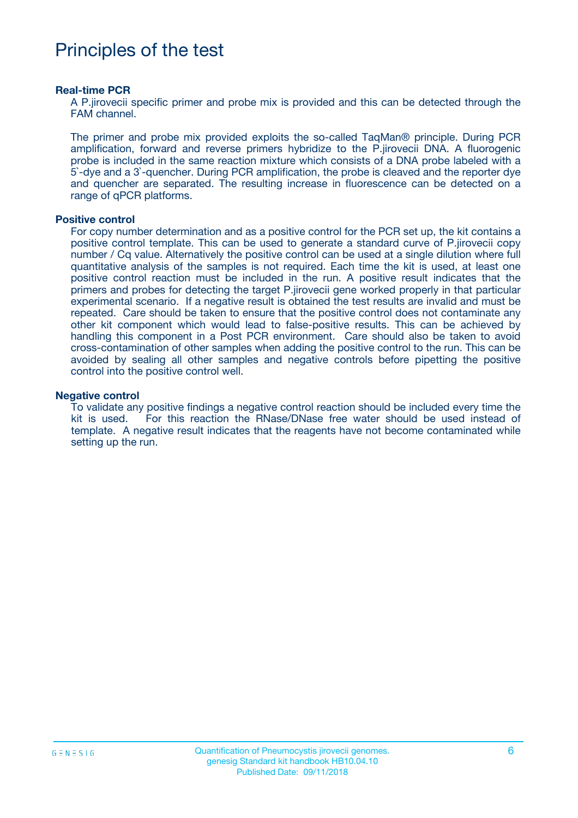## Principles of the test

#### **Real-time PCR**

A P.jirovecii specific primer and probe mix is provided and this can be detected through the FAM channel.

The primer and probe mix provided exploits the so-called TaqMan® principle. During PCR amplification, forward and reverse primers hybridize to the P.jirovecii DNA. A fluorogenic probe is included in the same reaction mixture which consists of a DNA probe labeled with a 5`-dye and a 3`-quencher. During PCR amplification, the probe is cleaved and the reporter dye and quencher are separated. The resulting increase in fluorescence can be detected on a range of qPCR platforms.

#### **Positive control**

For copy number determination and as a positive control for the PCR set up, the kit contains a positive control template. This can be used to generate a standard curve of P.jirovecii copy number / Cq value. Alternatively the positive control can be used at a single dilution where full quantitative analysis of the samples is not required. Each time the kit is used, at least one positive control reaction must be included in the run. A positive result indicates that the primers and probes for detecting the target P.jirovecii gene worked properly in that particular experimental scenario. If a negative result is obtained the test results are invalid and must be repeated. Care should be taken to ensure that the positive control does not contaminate any other kit component which would lead to false-positive results. This can be achieved by handling this component in a Post PCR environment. Care should also be taken to avoid cross-contamination of other samples when adding the positive control to the run. This can be avoided by sealing all other samples and negative controls before pipetting the positive control into the positive control well.

#### **Negative control**

To validate any positive findings a negative control reaction should be included every time the kit is used. For this reaction the RNase/DNase free water should be used instead of template. A negative result indicates that the reagents have not become contaminated while setting up the run.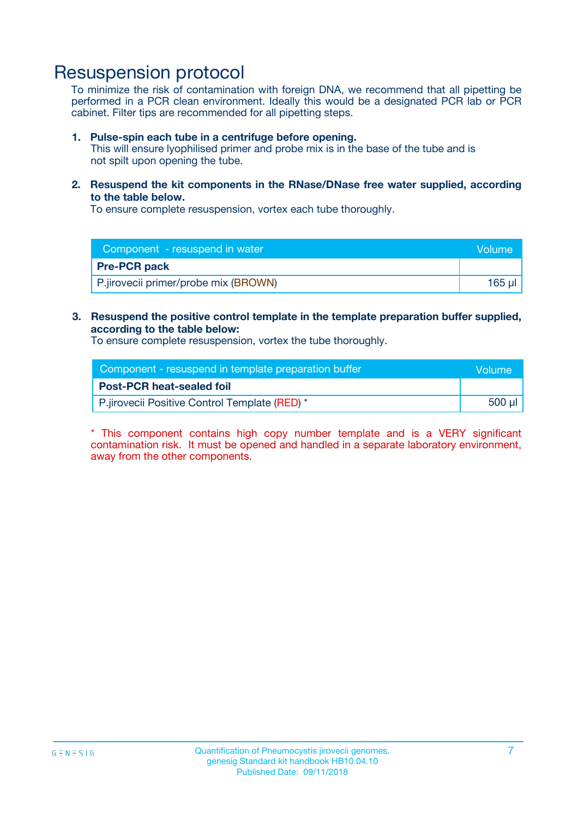### Resuspension protocol

To minimize the risk of contamination with foreign DNA, we recommend that all pipetting be performed in a PCR clean environment. Ideally this would be a designated PCR lab or PCR cabinet. Filter tips are recommended for all pipetting steps.

#### **1. Pulse-spin each tube in a centrifuge before opening.**

This will ensure lyophilised primer and probe mix is in the base of the tube and is not spilt upon opening the tube.

**2. Resuspend the kit components in the RNase/DNase free water supplied, according to the table below.**

To ensure complete resuspension, vortex each tube thoroughly.

| Component - resuspend in water       | Volume    |
|--------------------------------------|-----------|
| <b>Pre-PCR pack</b>                  |           |
| P.jirovecii primer/probe mix (BROWN) | $165 \mu$ |

#### **3. Resuspend the positive control template in the template preparation buffer supplied, according to the table below:**

To ensure complete resuspension, vortex the tube thoroughly.

| Component - resuspend in template preparation buffer |        |  |
|------------------------------------------------------|--------|--|
| <b>Post-PCR heat-sealed foil</b>                     |        |  |
| P.jirovecii Positive Control Template (RED) *        | 500 µl |  |

\* This component contains high copy number template and is a VERY significant contamination risk. It must be opened and handled in a separate laboratory environment, away from the other components.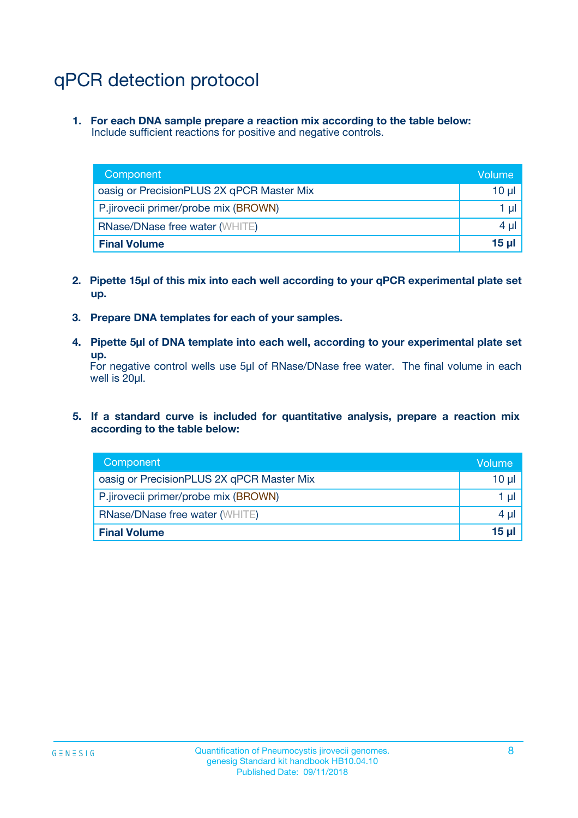## qPCR detection protocol

**1. For each DNA sample prepare a reaction mix according to the table below:** Include sufficient reactions for positive and negative controls.

| Component                                 | Volume   |
|-------------------------------------------|----------|
| oasig or PrecisionPLUS 2X qPCR Master Mix | 10 $\mu$ |
| P.jirovecii primer/probe mix (BROWN)      | 1 $\mu$  |
| <b>RNase/DNase free water (WHITE)</b>     | $4 \mu$  |
| <b>Final Volume</b>                       | $15$ µ   |

- **2. Pipette 15µl of this mix into each well according to your qPCR experimental plate set up.**
- **3. Prepare DNA templates for each of your samples.**
- **4. Pipette 5µl of DNA template into each well, according to your experimental plate set up.**

For negative control wells use 5µl of RNase/DNase free water. The final volume in each well is 20µl.

**5. If a standard curve is included for quantitative analysis, prepare a reaction mix according to the table below:**

| Component                                 | Volume     |
|-------------------------------------------|------------|
| oasig or PrecisionPLUS 2X qPCR Master Mix | 10 µl      |
| P.jirovecii primer/probe mix (BROWN)      | 1 µI       |
| <b>RNase/DNase free water (WHITE)</b>     | $4 \mu$    |
| <b>Final Volume</b>                       | $15$ $\mu$ |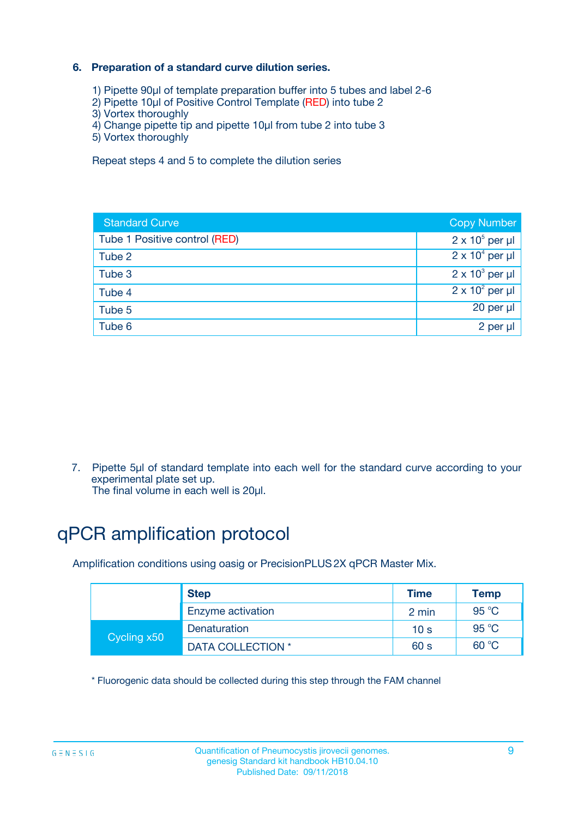### **6. Preparation of a standard curve dilution series.**

- 1) Pipette 90µl of template preparation buffer into 5 tubes and label 2-6
- 2) Pipette 10µl of Positive Control Template (RED) into tube 2
- 3) Vortex thoroughly
- 4) Change pipette tip and pipette 10µl from tube 2 into tube 3
- 5) Vortex thoroughly

Repeat steps 4 and 5 to complete the dilution series

| <b>Standard Curve</b>         | <b>Copy Number</b>     |
|-------------------------------|------------------------|
| Tube 1 Positive control (RED) | $2 \times 10^5$ per µl |
| Tube 2                        | $2 \times 10^4$ per µl |
| Tube 3                        | $2 \times 10^3$ per µl |
| Tube 4                        | $2 \times 10^2$ per µl |
| Tube 5                        | 20 per µl              |
| Tube 6                        | 2 per ul               |

7. Pipette 5µl of standard template into each well for the standard curve according to your experimental plate set up.

The final volume in each well is 20µl.

## qPCR amplification protocol

Amplification conditions using oasig or PrecisionPLUS2X qPCR Master Mix.

|             | <b>Step</b>       | <b>Time</b>     | Temp           |
|-------------|-------------------|-----------------|----------------|
|             | Enzyme activation | 2 min           | $95^{\circ}$ C |
| Cycling x50 | Denaturation      | 10 <sub>s</sub> | 95 $°C$        |
|             | DATA COLLECTION * | 60 s            | 60 °C          |

\* Fluorogenic data should be collected during this step through the FAM channel